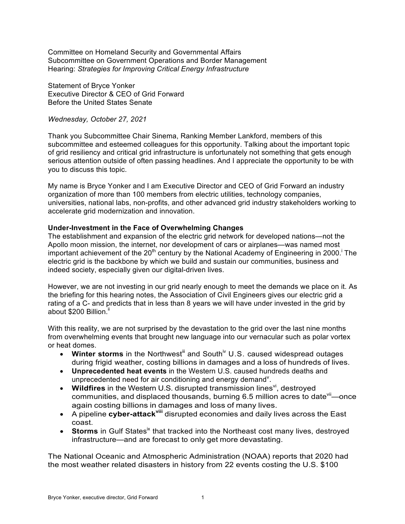Committee on Homeland Security and Governmental Affairs Subcommittee on Government Operations and Border Management Hearing: *Strategies for Improving Critical Energy Infrastructure*

Statement of Bryce Yonker Executive Director & CEO of Grid Forward Before the United States Senate

#### *Wednesday, October 27, 2021*

Thank you Subcommittee Chair Sinema, Ranking Member Lankford, members of this subcommittee and esteemed colleagues for this opportunity. Talking about the important topic of grid resiliency and critical grid infrastructure is unfortunately not something that gets enough serious attention outside of often passing headlines. And I appreciate the opportunity to be with you to discuss this topic.

My name is Bryce Yonker and I am Executive Director and CEO of Grid Forward an industry organization of more than 100 members from electric utilities, technology companies, universities, national labs, non-profits, and other advanced grid industry stakeholders working to accelerate grid modernization and innovation.

### **Under-Investment in the Face of Overwhelming Changes**

The establishment and expansion of the electric grid network for developed nations—not the Apollo moon mission, the internet, nor development of cars or airplanes—was named most important achievement of the 20<sup>th</sup> century by the National Academy of Engineering in 2000.<sup>1</sup> The electric grid is the backbone by which we build and sustain our communities, business and indeed society, especially given our digital-driven lives.

However, we are not investing in our grid nearly enough to meet the demands we place on it. As the briefing for this hearing notes, the Association of Civil Engineers gives our electric grid a rating of a C- and predicts that in less than 8 years we will have under invested in the grid by about \$200 Billion.<sup>ii</sup>

With this reality, we are not surprised by the devastation to the grid over the last nine months from overwhelming events that brought new language into our vernacular such as polar vortex or heat domes.

- Winter storms in the Northwest<sup>iii</sup> and South<sup>iv</sup> U.S. caused widespread outages during frigid weather, costing billions in damages and a loss of hundreds of lives.
- **Unprecedented heat events** in the Western U.S. caused hundreds deaths and unprecedented need for air conditioning and energy demand<sup>y</sup>.
- Wildfires in the Western U.S. disrupted transmission lines<sup>vi</sup>, destroyed communities, and displaced thousands, burning 6.5 million acres to date  $\mathrm{V}^{\text{ii}}$ —once again costing billions in damages and loss of many lives.
- A pipeline **cyber-attackviii** disrupted economies and daily lives across the East coast.
- **Storms** in Gulf States<sup>ix</sup> that tracked into the Northeast cost many lives, destroyed infrastructure—and are forecast to only get more devastating.

The National Oceanic and Atmospheric Administration (NOAA) reports that 2020 had the most weather related disasters in history from 22 events costing the U.S. \$100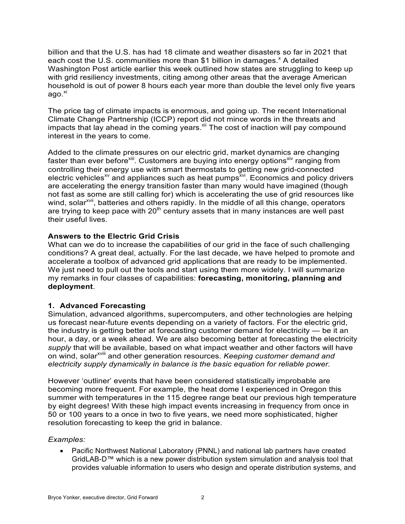billion and that the U.S. has had 18 climate and weather disasters so far in 2021 that each cost the U.S. communities more than \$1 billion in damages.<sup>x</sup> A detailed Washington Post article earlier this week outlined how states are struggling to keep up with grid resiliency investments, citing among other areas that the average American household is out of power 8 hours each year more than double the level only five years ago.<sup>xi</sup>

The price tag of climate impacts is enormous, and going up. The recent International Climate Change Partnership (ICCP) report did not mince words in the threats and impacts that lay ahead in the coming years.<sup>xii</sup> The cost of inaction will pay compound interest in the years to come.

Added to the climate pressures on our electric grid, market dynamics are changing faster than ever before  $\frac{1}{2}$ . Customers are buying into energy options<sup>xiv</sup> ranging from controlling their energy use with smart thermostats to getting new grid-connected electric vehicles<sup> $x$ </sup> and appliances such as heat pumps<sup> $x$ vi</sup>. Economics and policy drivers are accelerating the energy transition faster than many would have imagined (though not fast as some are still calling for) which is accelerating the use of grid resources like wind, solar<sup>xvii</sup>, batteries and others rapidly. In the middle of all this change, operators are trying to keep pace with  $20<sup>th</sup>$  century assets that in many instances are well past their useful lives.

### **Answers to the Electric Grid Crisis**

What can we do to increase the capabilities of our grid in the face of such challenging conditions? A great deal, actually. For the last decade, we have helped to promote and accelerate a toolbox of advanced grid applications that are ready to be implemented. We just need to pull out the tools and start using them more widely. I will summarize my remarks in four classes of capabilities: **forecasting, monitoring, planning and deployment**.

### **1. Advanced Forecasting**

Simulation, advanced algorithms, supercomputers, and other technologies are helping us forecast near-future events depending on a variety of factors. For the electric grid, the industry is getting better at forecasting customer demand for electricity — be it an hour, a day, or a week ahead. We are also becoming better at forecasting the electricity *supply* that will be available, based on what impact weather and other factors will have on wind, solar<sup>xviii</sup> and other generation resources. *Keeping customer demand and electricity supply dynamically in balance is the basic equation for reliable power.*

However 'outliner' events that have been considered statistically improbable are becoming more frequent. For example, the heat dome I experienced in Oregon this summer with temperatures in the 115 degree range beat our previous high temperature by eight degrees! With these high impact events increasing in frequency from once in 50 or 100 years to a once in two to five years, we need more sophisticated, higher resolution forecasting to keep the grid in balance.

### *Examples:*

• Pacific Northwest National Laboratory (PNNL) and national lab partners have created GridLAB-D™ which is a new power distribution system simulation and analysis tool that provides valuable information to users who design and operate distribution systems, and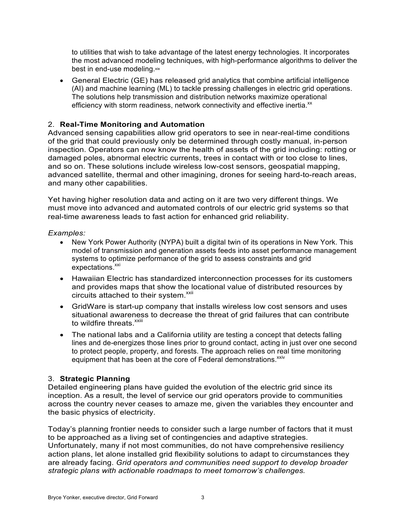to utilities that wish to take advantage of the latest energy technologies. It incorporates the most advanced modeling techniques, with high-performance algorithms to deliver the best in end-use modeling.xix

• General Electric (GE) has released grid analytics that combine artificial intelligence (AI) and machine learning (ML) to tackle pressing challenges in electric grid operations. The solutions help transmission and distribution networks maximize operational efficiency with storm readiness, network connectivity and effective inertia.<sup>xx</sup>

## 2. **Real-Time Monitoring and Automation**

Advanced sensing capabilities allow grid operators to see in near-real-time conditions of the grid that could previously only be determined through costly manual, in-person inspection. Operators can now know the health of assets of the grid including: rotting or damaged poles, abnormal electric currents, trees in contact with or too close to lines, and so on. These solutions include wireless low-cost sensors, geospatial mapping, advanced satellite, thermal and other imagining, drones for seeing hard-to-reach areas, and many other capabilities.

Yet having higher resolution data and acting on it are two very different things. We must move into advanced and automated controls of our electric grid systems so that real-time awareness leads to fast action for enhanced grid reliability.

#### *Examples:*

- New York Power Authority (NYPA) built a digital twin of its operations in New York. This model of transmission and generation assets feeds into asset performance management systems to optimize performance of the grid to assess constraints and grid expectations.<sup>xxi</sup>
- Hawaiian Electric has standardized interconnection processes for its customers and provides maps that show the locational value of distributed resources by circuits attached to their system.<sup>xxii</sup>
- GridWare is start-up company that installs wireless low cost sensors and uses situational awareness to decrease the threat of grid failures that can contribute to wildfire threats.<sup>xxiii</sup>
- The national labs and a California utility are testing a concept that detects falling lines and de-energizes those lines prior to ground contact, acting in just over one second to protect people, property, and forests. The approach relies on real time monitoring equipment that has been at the core of Federal demonstrations.<sup>xxiv</sup>

### 3. **Strategic Planning**

Detailed engineering plans have guided the evolution of the electric grid since its inception. As a result, the level of service our grid operators provide to communities across the country never ceases to amaze me, given the variables they encounter and the basic physics of electricity.

Today's planning frontier needs to consider such a large number of factors that it must to be approached as a living set of contingencies and adaptive strategies. Unfortunately, many if not most communities, do not have comprehensive resiliency action plans, let alone installed grid flexibility solutions to adapt to circumstances they are already facing. *Grid operators and communities need support to develop broader strategic plans with actionable roadmaps to meet tomorrow's challenges.*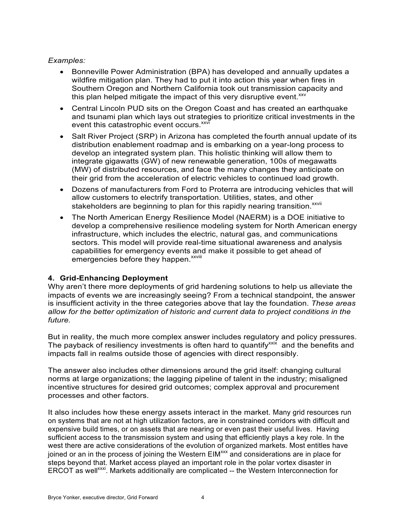## *Examples:*

- Bonneville Power Administration (BPA) has developed and annually updates a wildfire mitigation plan. They had to put it into action this year when fires in Southern Oregon and Northern California took out transmission capacity and this plan helped mitigate the impact of this very disruptive event. $x_{xx}$
- Central Lincoln PUD sits on the Oregon Coast and has created an earthquake and tsunami plan which lays out strategies to prioritize critical investments in the event this catastrophic event occurs.<sup>xxvi</sup>
- Salt River Project (SRP) in Arizona has completed the fourth annual update of its distribution enablement roadmap and is embarking on a year-long process to develop an integrated system plan. This holistic thinking will allow them to integrate gigawatts (GW) of new renewable generation, 100s of megawatts (MW) of distributed resources, and face the many changes they anticipate on their grid from the acceleration of electric vehicles to continued load growth.
- Dozens of manufacturers from Ford to Proterra are introducing vehicles that will allow customers to electrify transportation. Utilities, states, and other stakeholders are beginning to plan for this rapidly nearing transition.<sup>xxvii</sup>
- The North American Energy Resilience Model (NAERM) is a DOE initiative to develop a comprehensive resilience modeling system for North American energy infrastructure, which includes the electric, natural gas, and communications sectors. This model will provide real-time situational awareness and analysis capabilities for emergency events and make it possible to get ahead of emergencies before they happen. xxviii

# **4. Grid-Enhancing Deployment**

Why aren't there more deployments of grid hardening solutions to help us alleviate the impacts of events we are increasingly seeing? From a technical standpoint, the answer is insufficient activity in the three categories above that lay the foundation. *These areas allow for the better optimization of historic and current data to project conditions in the future.* 

But in reality, the much more complex answer includes regulatory and policy pressures. The payback of resiliency investments is often hard to quantify<sup> $xxix$ </sup> and the benefits and impacts fall in realms outside those of agencies with direct responsibly.

The answer also includes other dimensions around the grid itself: changing cultural norms at large organizations; the lagging pipeline of talent in the industry; misaligned incentive structures for desired grid outcomes; complex approval and procurement processes and other factors.

It also includes how these energy assets interact in the market. Many grid resources run on systems that are not at high utilization factors, are in constrained corridors with difficult and expensive build times, or on assets that are nearing or even past their useful lives. Having sufficient access to the transmission system and using that efficiently plays a key role. In the west there are active considerations of the evolution of organized markets. Most entitles have joined or an in the process of joining the Western EIM<sup>xxx</sup> and considerations are in place for steps beyond that. Market access played an important role in the polar vortex disaster in ERCOT as well<sup>xxxi</sup>. Markets additionally are complicated -- the Western Interconnection for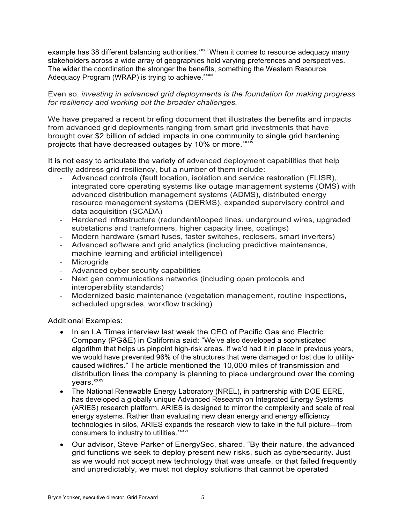example has 38 different balancing authorities.<sup>xxxii</sup> When it comes to resource adequacy many stakeholders across a wide array of geographies hold varying preferences and perspectives. The wider the coordination the stronger the benefits, something the Western Resource Adequacy Program (WRAP) is trying to achieve.<sup>xxxiii</sup>

Even so, *investing in advanced grid deployments is the foundation for making progress for resiliency and working out the broader challenges.* 

We have prepared a recent briefing document that illustrates the benefits and impacts from advanced grid deployments ranging from smart grid investments that have brought over \$2 billion of added impacts in one community to single grid hardening projects that have decreased outages by 10% or more.<sup>xxxiv</sup>

It is not easy to articulate the variety of advanced deployment capabilities that help directly address grid resiliency, but a number of them include:

- Advanced controls (fault location, isolation and service restoration (FLISR), integrated core operating systems like outage management systems (OMS) with advanced distribution management systems (ADMS), distributed energy resource management systems (DERMS), expanded supervisory control and data acquisition (SCADA)
- Hardened infrastructure (redundant/looped lines, underground wires, upgraded substations and transformers, higher capacity lines, coatings)
- Modern hardware (smart fuses, faster switches, reclosers, smart inverters)
- Advanced software and grid analytics (including predictive maintenance, machine learning and artificial intelligence)
- **Microgrids**
- Advanced cyber security capabilities
- Next gen communications networks (including open protocols and interoperability standards)
- Modernized basic maintenance (vegetation management, routine inspections, scheduled upgrades, workflow tracking)

#### Additional Examples:

- In an LA Times interview last week the CEO of Pacific Gas and Electric Company (PG&E) in California said: "We've also developed a sophisticated algorithm that helps us pinpoint high-risk areas. If we'd had it in place in previous years, we would have prevented 96% of the structures that were damaged or lost due to utilitycaused wildfires." The article mentioned the 10,000 miles of transmission and distribution lines the company is planning to place underground over the coming vears.<sup>xxxv</sup>
- The National Renewable Energy Laboratory (NREL), in partnership with DOE EERE, has developed a globally unique Advanced Research on Integrated Energy Systems (ARIES) research platform. ARIES is designed to mirror the complexity and scale of real energy systems. Rather than evaluating new clean energy and energy efficiency technologies in silos, ARIES expands the research view to take in the full picture—from consumers to industry to utilities.<sup>xxxvi</sup>
- Our advisor, Steve Parker of EnergySec, shared, "By their nature, the advanced grid functions we seek to deploy present new risks, such as cybersecurity. Just as we would not accept new technology that was unsafe, or that failed frequently and unpredictably, we must not deploy solutions that cannot be operated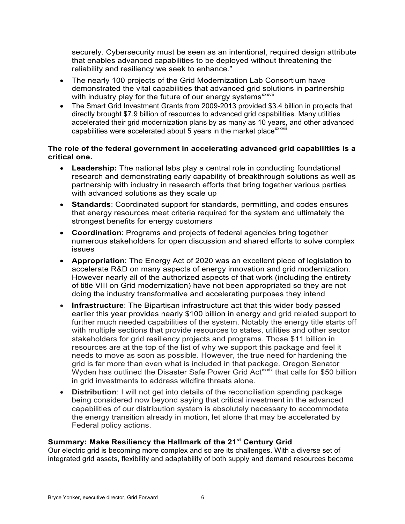securely. Cybersecurity must be seen as an intentional, required design attribute that enables advanced capabilities to be deployed without threatening the reliability and resiliency we seek to enhance."

- The nearly 100 projects of the Grid Modernization Lab Consortium have demonstrated the vital capabilities that advanced grid solutions in partnership with industry play for the future of our energy systems<sup>xxxvii</sup>
- The Smart Grid Investment Grants from 2009-2013 provided \$3.4 billion in projects that directly brought \$7.9 billion of resources to advanced grid capabilities. Many utilities accelerated their grid modernization plans by as many as 10 years, and other advanced capabilities were accelerated about 5 years in the market place<sup>xxxviii</sup>

### **The role of the federal government in accelerating advanced grid capabilities is a critical one.**

- **Leadership:** The national labs play a central role in conducting foundational research and demonstrating early capability of breakthrough solutions as well as partnership with industry in research efforts that bring together various parties with advanced solutions as they scale up
- **Standards**: Coordinated support for standards, permitting, and codes ensures that energy resources meet criteria required for the system and ultimately the strongest benefits for energy customers
- **Coordination**: Programs and projects of federal agencies bring together numerous stakeholders for open discussion and shared efforts to solve complex issues
- **Appropriation**: The Energy Act of 2020 was an excellent piece of legislation to accelerate R&D on many aspects of energy innovation and grid modernization. However nearly all of the authorized aspects of that work (including the entirety of title VIII on Grid modernization) have not been appropriated so they are not doing the industry transformative and accelerating purposes they intend
- **Infrastructure**: The Bipartisan infrastructure act that this wider body passed earlier this year provides nearly \$100 billion in energy and grid related support to further much needed capabilities of the system. Notably the energy title starts off with multiple sections that provide resources to states, utilities and other sector stakeholders for grid resiliency projects and programs. Those \$11 billion in resources are at the top of the list of why we support this package and feel it needs to move as soon as possible. However, the true need for hardening the grid is far more than even what is included in that package. Oregon Senator Wyden has outlined the Disaster Safe Power Grid Act<sup>xxxix</sup> that calls for \$50 billion in grid investments to address wildfire threats alone.
- **Distribution**: I will not get into details of the reconciliation spending package being considered now beyond saying that critical investment in the advanced capabilities of our distribution system is absolutely necessary to accommodate the energy transition already in motion, let alone that may be accelerated by Federal policy actions.

# **Summary: Make Resiliency the Hallmark of the 21st Century Grid**

Our electric grid is becoming more complex and so are its challenges. With a diverse set of integrated grid assets, flexibility and adaptability of both supply and demand resources become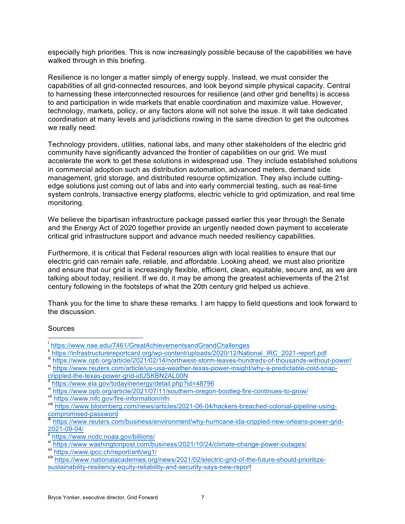especially high priorities. This is now increasingly possible because of the capabilities we have walked through in this briefing.

Resilience is no longer a matter simply of energy supply. Instead, we must consider the capabilities of all grid-connected resources, and look beyond simple physical capacity. Central to harnessing these interconnected resources for resilience (and other grid benefits) is access to and participation in wide markets that enable coordination and maximize value. However, technology, markets, policy, or any factors alone will not solve the issue. It will take dedicated coordination at many levels and jurisdictions rowing in the same direction to get the outcomes we really need.

Technology providers, utilities, national labs, and many other stakeholders of the electric grid community have significantly advanced the frontier of capabilities on our grid. We must accelerate the work to get these solutions in widespread use. They include established solutions in commercial adoption such as distribution automation, advanced meters, demand side management, grid storage, and distributed resource optimization. They also include cuttingedge solutions just coming out of labs and into early commercial testing, such as real-time system controls, transactive energy platforms, electric vehicle to grid optimization, and real time monitoring.

We believe the bipartisan infrastructure package passed earlier this year through the Senate and the Energy Act of 2020 together provide an urgently needed down payment to accelerate critical grid infrastructure support and advance much needed resiliency capabilities.

Furthermore, it is critical that Federal resources align with local realities to ensure that our electric grid can remain safe, reliable, and affordable. Looking ahead, we must also prioritize and ensure that our grid is increasingly flexible, efficient, clean, equitable, secure and, as we are talking about today, resilient. If we do, it may be among the greatest achievements of the 21st century following in the footsteps of what the 20th century grid helped us achieve.

Thank you for the time to share these remarks. I am happy to field questions and look forward to the discussion.

#### Sources

i  $\overline{1}$ 

https://www.nae.edu/7461/GreatAchievementsandGrandChallenges<br>https://infrastructurereportcard.org/wp-content/uploads/2020/12/National IRC 2021-report.pdf

illum https://www.opb.org/article/2021/02/14/northwest-storm-leaves-hundreds-of-thousands-without-power/<br>iv https://www.reuters.com/article/us-usa-weather-texas-power-insight/why-a-predictable-cold-snap-

crippled-the-texas-power-grid-idUSKBN2AL00N<br>v https://www.eia.gov/todayinenergy/detail.php?id=48796

vinthermation of https://www.opb.org/article/2021/07/11/southern-oregon-bootleg-fire-continues-to-grow/<br>vii https://www.nifc.gov/fire-information/n<u>fn</u>

viii https://www.bloomberg.com/news/articles/2021-06-04/hackers-breached-colonial-pipeline-usingcompromised-password<br>ix https://www.reuters.com/business/environment/why-hurricane-ida-crippled-new-orleans-power-grid-

<sup>2021-09-04/&</sup>lt;br><sup>x</sup> https://www.ncdc.noaa.gov/billions/

xi https://www.washingtonpost.com/business/2021/10/24/climate-change-power-outages/<br>xii https://www.ipcc.ch/report/ar6/wg1/<br>xiii https://www.nationalacademies.org/news/2021/02/electric-grid-of-the-future-should-prioritize-

sustainability-resiliency-equity-reliability-and-security-says-new-report